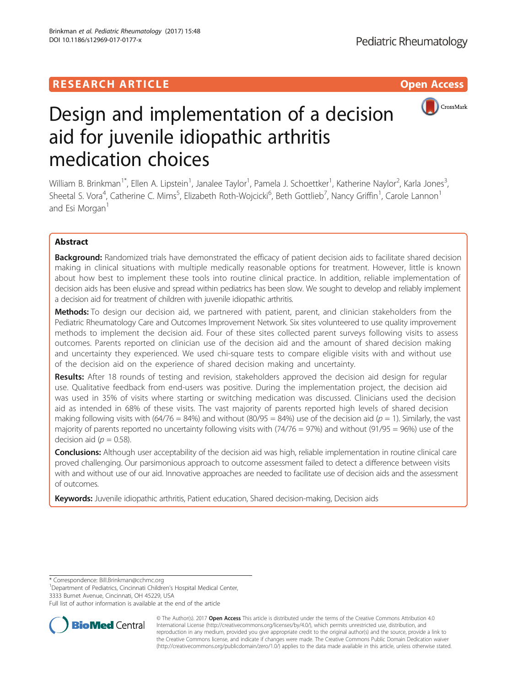

# Design and implementation of a decision aid for juvenile idiopathic arthritis medication choices

William B. Brinkman<sup>1\*</sup>, Ellen A. Lipstein<sup>1</sup>, Janalee Taylor<sup>1</sup>, Pamela J. Schoettker<sup>1</sup>, Katherine Naylor<sup>2</sup>, Karla Jones<sup>3</sup> , Sheetal S. Vora<sup>4</sup>, Catherine C. Mims<sup>5</sup>, Elizabeth Roth-Wojcicki<sup>6</sup>, Beth Gottlieb<sup>7</sup>, Nancy Griffin<sup>1</sup>, Carole Lannon<sup>1</sup> and Esi Morgan<sup>1</sup>

# Abstract

**Background:** Randomized trials have demonstrated the efficacy of patient decision aids to facilitate shared decision making in clinical situations with multiple medically reasonable options for treatment. However, little is known about how best to implement these tools into routine clinical practice. In addition, reliable implementation of decision aids has been elusive and spread within pediatrics has been slow. We sought to develop and reliably implement a decision aid for treatment of children with juvenile idiopathic arthritis.

Methods: To design our decision aid, we partnered with patient, parent, and clinician stakeholders from the Pediatric Rheumatology Care and Outcomes Improvement Network. Six sites volunteered to use quality improvement methods to implement the decision aid. Four of these sites collected parent surveys following visits to assess outcomes. Parents reported on clinician use of the decision aid and the amount of shared decision making and uncertainty they experienced. We used chi-square tests to compare eligible visits with and without use of the decision aid on the experience of shared decision making and uncertainty.

Results: After 18 rounds of testing and revision, stakeholders approved the decision aid design for regular use. Qualitative feedback from end-users was positive. During the implementation project, the decision aid was used in 35% of visits where starting or switching medication was discussed. Clinicians used the decision aid as intended in 68% of these visits. The vast majority of parents reported high levels of shared decision making following visits with (64/76 = 84%) and without (80/95 = 84%) use of the decision aid ( $p = 1$ ). Similarly, the vast majority of parents reported no uncertainty following visits with  $(74/76 = 97%)$  and without  $(91/95 = 96%)$  use of the decision aid ( $p = 0.58$ ).

**Conclusions:** Although user acceptability of the decision aid was high, reliable implementation in routine clinical care proved challenging. Our parsimonious approach to outcome assessment failed to detect a difference between visits with and without use of our aid. Innovative approaches are needed to facilitate use of decision aids and the assessment of outcomes.

Keywords: Juvenile idiopathic arthritis, Patient education, Shared decision-making, Decision aids

\* Correspondence: [Bill.Brinkman@cchmc.org](mailto:Bill.Brinkman@cchmc.org) <sup>1</sup>

<sup>1</sup>Department of Pediatrics, Cincinnati Children's Hospital Medical Center, 3333 Burnet Avenue, Cincinnati, OH 45229, USA

Full list of author information is available at the end of the article



© The Author(s). 2017 **Open Access** This article is distributed under the terms of the Creative Commons Attribution 4.0 International License [\(http://creativecommons.org/licenses/by/4.0/](http://creativecommons.org/licenses/by/4.0/)), which permits unrestricted use, distribution, and reproduction in any medium, provided you give appropriate credit to the original author(s) and the source, provide a link to the Creative Commons license, and indicate if changes were made. The Creative Commons Public Domain Dedication waiver [\(http://creativecommons.org/publicdomain/zero/1.0/](http://creativecommons.org/publicdomain/zero/1.0/)) applies to the data made available in this article, unless otherwise stated.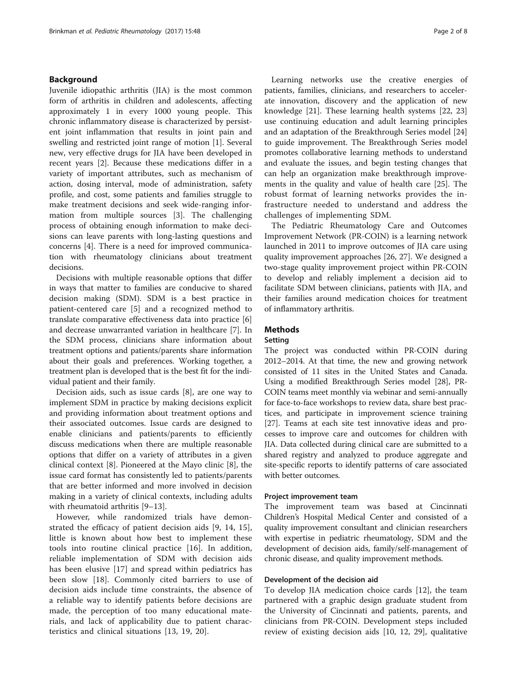## Background

Juvenile idiopathic arthritis (JIA) is the most common form of arthritis in children and adolescents, affecting approximately 1 in every 1000 young people. This chronic inflammatory disease is characterized by persistent joint inflammation that results in joint pain and swelling and restricted joint range of motion [[1\]](#page-6-0). Several new, very effective drugs for JIA have been developed in recent years [\[2](#page-6-0)]. Because these medications differ in a variety of important attributes, such as mechanism of action, dosing interval, mode of administration, safety profile, and cost, some patients and families struggle to make treatment decisions and seek wide-ranging information from multiple sources [[3\]](#page-6-0). The challenging process of obtaining enough information to make decisions can leave parents with long-lasting questions and concerns [[4\]](#page-6-0). There is a need for improved communication with rheumatology clinicians about treatment decisions.

Decisions with multiple reasonable options that differ in ways that matter to families are conducive to shared decision making (SDM). SDM is a best practice in patient-centered care [[5\]](#page-6-0) and a recognized method to translate comparative effectiveness data into practice [\[6](#page-7-0)] and decrease unwarranted variation in healthcare [\[7](#page-7-0)]. In the SDM process, clinicians share information about treatment options and patients/parents share information about their goals and preferences. Working together, a treatment plan is developed that is the best fit for the individual patient and their family.

Decision aids, such as issue cards [\[8](#page-7-0)], are one way to implement SDM in practice by making decisions explicit and providing information about treatment options and their associated outcomes. Issue cards are designed to enable clinicians and patients/parents to efficiently discuss medications when there are multiple reasonable options that differ on a variety of attributes in a given clinical context [[8\]](#page-7-0). Pioneered at the Mayo clinic [\[8](#page-7-0)], the issue card format has consistently led to patients/parents that are better informed and more involved in decision making in a variety of clinical contexts, including adults with rheumatoid arthritis [\[9](#page-7-0)–[13\]](#page-7-0).

However, while randomized trials have demonstrated the efficacy of patient decision aids [[9, 14, 15](#page-7-0)], little is known about how best to implement these tools into routine clinical practice [\[16](#page-7-0)]. In addition, reliable implementation of SDM with decision aids has been elusive [[17\]](#page-7-0) and spread within pediatrics has been slow [\[18](#page-7-0)]. Commonly cited barriers to use of decision aids include time constraints, the absence of a reliable way to identify patients before decisions are made, the perception of too many educational materials, and lack of applicability due to patient characteristics and clinical situations [[13, 19](#page-7-0), [20](#page-7-0)].

Learning networks use the creative energies of patients, families, clinicians, and researchers to accelerate innovation, discovery and the application of new knowledge [[21](#page-7-0)]. These learning health systems [\[22](#page-7-0), [23](#page-7-0)] use continuing education and adult learning principles and an adaptation of the Breakthrough Series model [[24](#page-7-0)] to guide improvement. The Breakthrough Series model promotes collaborative learning methods to understand and evaluate the issues, and begin testing changes that can help an organization make breakthrough improvements in the quality and value of health care [\[25](#page-7-0)]. The robust format of learning networks provides the infrastructure needed to understand and address the challenges of implementing SDM.

The Pediatric Rheumatology Care and Outcomes Improvement Network (PR-COIN) is a learning network launched in 2011 to improve outcomes of JIA care using quality improvement approaches [\[26, 27\]](#page-7-0). We designed a two-stage quality improvement project within PR-COIN to develop and reliably implement a decision aid to facilitate SDM between clinicians, patients with JIA, and their families around medication choices for treatment of inflammatory arthritis.

## **Methods**

#### Setting

The project was conducted within PR-COIN during 2012–2014. At that time, the new and growing network consisted of 11 sites in the United States and Canada. Using a modified Breakthrough Series model [\[28\]](#page-7-0), PR-COIN teams meet monthly via webinar and semi-annually for face-to-face workshops to review data, share best practices, and participate in improvement science training [[27](#page-7-0)]. Teams at each site test innovative ideas and processes to improve care and outcomes for children with JIA. Data collected during clinical care are submitted to a shared registry and analyzed to produce aggregate and site-specific reports to identify patterns of care associated with better outcomes.

## Project improvement team

The improvement team was based at Cincinnati Children's Hospital Medical Center and consisted of a quality improvement consultant and clinician researchers with expertise in pediatric rheumatology, SDM and the development of decision aids, family/self-management of chronic disease, and quality improvement methods.

## Development of the decision aid

To develop JIA medication choice cards [\[12\]](#page-7-0), the team partnered with a graphic design graduate student from the University of Cincinnati and patients, parents, and clinicians from PR-COIN. Development steps included review of existing decision aids [[10](#page-7-0), [12, 29\]](#page-7-0), qualitative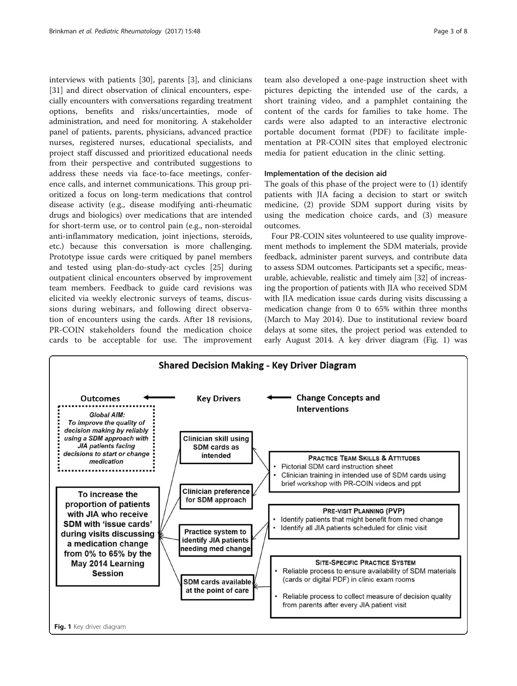interviews with patients [\[30](#page-7-0)], parents [\[3](#page-6-0)], and clinicians [[31\]](#page-7-0) and direct observation of clinical encounters, especially encounters with conversations regarding treatment options, benefits and risks/uncertainties, mode of administration, and need for monitoring. A stakeholder panel of patients, parents, physicians, advanced practice nurses, registered nurses, educational specialists, and project staff discussed and prioritized educational needs from their perspective and contributed suggestions to address these needs via face-to-face meetings, conference calls, and internet communications. This group prioritized a focus on long-term medications that control disease activity (e.g., disease modifying anti-rheumatic drugs and biologics) over medications that are intended for short-term use, or to control pain (e.g., non-steroidal anti-inflammatory medication, joint injections, steroids, etc.) because this conversation is more challenging. Prototype issue cards were critiqued by panel members and tested using plan-do-study-act cycles [\[25\]](#page-7-0) during outpatient clinical encounters observed by improvement team members. Feedback to guide card revisions was elicited via weekly electronic surveys of teams, discussions during webinars, and following direct observation of encounters using the cards. After 18 revisions, PR-COIN stakeholders found the medication choice cards to be acceptable for use. The improvement

team also developed a one-page instruction sheet with pictures depicting the intended use of the cards, a short training video, and a pamphlet containing the content of the cards for families to take home. The cards were also adapted to an interactive electronic portable document format (PDF) to facilitate implementation at PR-COIN sites that employed electronic media for patient education in the clinic setting.

## Implementation of the decision aid

The goals of this phase of the project were to (1) identify patients with JIA facing a decision to start or switch medicine, (2) provide SDM support during visits by using the medication choice cards, and (3) measure outcomes.

Four PR-COIN sites volunteered to use quality improvement methods to implement the SDM materials, provide feedback, administer parent surveys, and contribute data to assess SDM outcomes. Participants set a specific, measurable, achievable, realistic and timely aim [\[32](#page-7-0)] of increasing the proportion of patients with JIA who received SDM with JIA medication issue cards during visits discussing a medication change from 0 to 65% within three months (March to May 2014). Due to institutional review board delays at some sites, the project period was extended to early August 2014. A key driver diagram (Fig. 1) was

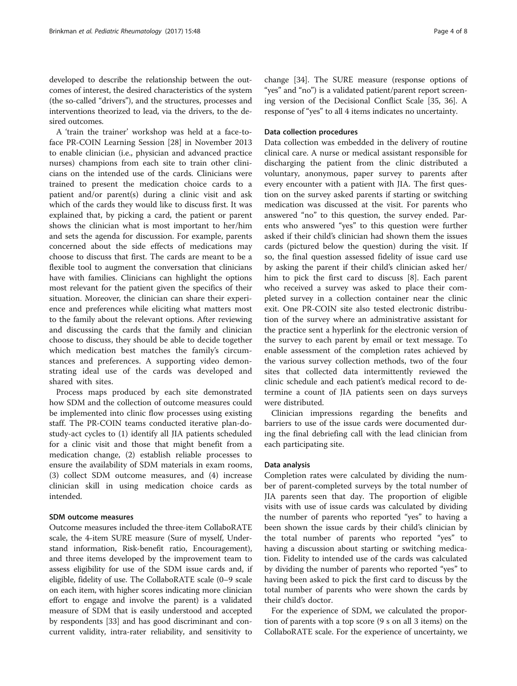developed to describe the relationship between the outcomes of interest, the desired characteristics of the system (the so-called "drivers"), and the structures, processes and interventions theorized to lead, via the drivers, to the desired outcomes.

A 'train the trainer' workshop was held at a face-toface PR-COIN Learning Session [\[28](#page-7-0)] in November 2013 to enable clinician (i.e., physician and advanced practice nurses) champions from each site to train other clinicians on the intended use of the cards. Clinicians were trained to present the medication choice cards to a patient and/or parent(s) during a clinic visit and ask which of the cards they would like to discuss first. It was explained that, by picking a card, the patient or parent shows the clinician what is most important to her/him and sets the agenda for discussion. For example, parents concerned about the side effects of medications may choose to discuss that first. The cards are meant to be a flexible tool to augment the conversation that clinicians have with families. Clinicians can highlight the options most relevant for the patient given the specifics of their situation. Moreover, the clinician can share their experience and preferences while eliciting what matters most to the family about the relevant options. After reviewing and discussing the cards that the family and clinician choose to discuss, they should be able to decide together which medication best matches the family's circumstances and preferences. A supporting video demonstrating ideal use of the cards was developed and shared with sites.

Process maps produced by each site demonstrated how SDM and the collection of outcome measures could be implemented into clinic flow processes using existing staff. The PR-COIN teams conducted iterative plan-dostudy-act cycles to (1) identify all JIA patients scheduled for a clinic visit and those that might benefit from a medication change, (2) establish reliable processes to ensure the availability of SDM materials in exam rooms, (3) collect SDM outcome measures, and (4) increase clinician skill in using medication choice cards as intended.

## SDM outcome measures

Outcome measures included the three-item CollaboRATE scale, the 4-item SURE measure (Sure of myself, Understand information, Risk-benefit ratio, Encouragement), and three items developed by the improvement team to assess eligibility for use of the SDM issue cards and, if eligible, fidelity of use. The CollaboRATE scale (0–9 scale on each item, with higher scores indicating more clinician effort to engage and involve the parent) is a validated measure of SDM that is easily understood and accepted by respondents [\[33\]](#page-7-0) and has good discriminant and concurrent validity, intra-rater reliability, and sensitivity to

change [[34](#page-7-0)]. The SURE measure (response options of "yes" and "no") is a validated patient/parent report screening version of the Decisional Conflict Scale [[35, 36\]](#page-7-0). A response of "yes" to all 4 items indicates no uncertainty.

## Data collection procedures

Data collection was embedded in the delivery of routine clinical care. A nurse or medical assistant responsible for discharging the patient from the clinic distributed a voluntary, anonymous, paper survey to parents after every encounter with a patient with JIA. The first question on the survey asked parents if starting or switching medication was discussed at the visit. For parents who answered "no" to this question, the survey ended. Parents who answered "yes" to this question were further asked if their child's clinician had shown them the issues cards (pictured below the question) during the visit. If so, the final question assessed fidelity of issue card use by asking the parent if their child's clinician asked her/ him to pick the first card to discuss [\[8](#page-7-0)]. Each parent who received a survey was asked to place their completed survey in a collection container near the clinic exit. One PR-COIN site also tested electronic distribution of the survey where an administrative assistant for the practice sent a hyperlink for the electronic version of the survey to each parent by email or text message. To enable assessment of the completion rates achieved by the various survey collection methods, two of the four sites that collected data intermittently reviewed the clinic schedule and each patient's medical record to determine a count of JIA patients seen on days surveys were distributed.

Clinician impressions regarding the benefits and barriers to use of the issue cards were documented during the final debriefing call with the lead clinician from each participating site.

## Data analysis

Completion rates were calculated by dividing the number of parent-completed surveys by the total number of JIA parents seen that day. The proportion of eligible visits with use of issue cards was calculated by dividing the number of parents who reported "yes" to having a been shown the issue cards by their child's clinician by the total number of parents who reported "yes" to having a discussion about starting or switching medication. Fidelity to intended use of the cards was calculated by dividing the number of parents who reported "yes" to having been asked to pick the first card to discuss by the total number of parents who were shown the cards by their child's doctor.

For the experience of SDM, we calculated the proportion of parents with a top score (9 s on all 3 items) on the CollaboRATE scale. For the experience of uncertainty, we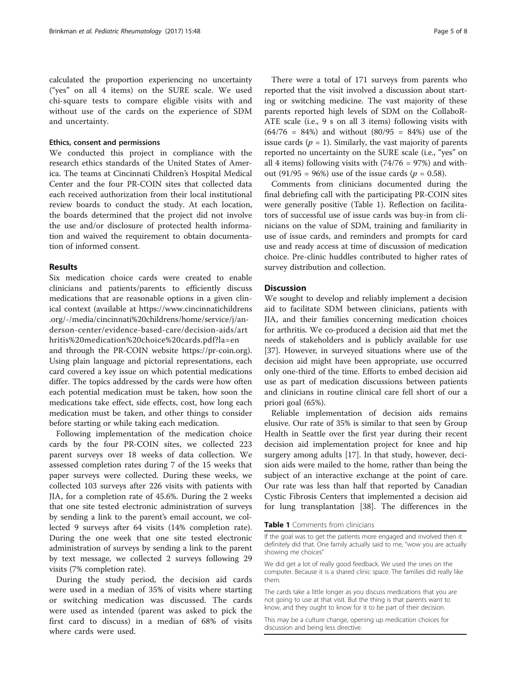calculated the proportion experiencing no uncertainty ("yes" on all 4 items) on the SURE scale. We used chi-square tests to compare eligible visits with and without use of the cards on the experience of SDM and uncertainty.

### Ethics, consent and permissions

We conducted this project in compliance with the research ethics standards of the United States of America. The teams at Cincinnati Children's Hospital Medical Center and the four PR-COIN sites that collected data each received authorization from their local institutional review boards to conduct the study. At each location, the boards determined that the project did not involve the use and/or disclosure of protected health information and waived the requirement to obtain documentation of informed consent.

## Results

Six medication choice cards were created to enable clinicians and patients/parents to efficiently discuss medications that are reasonable options in a given clinical context (available at [https://www.cincinnatichildrens](https://www.cincinnatichildrens.org/-/media/cincinnati%20childrens/home/service/j/anderson-center/evidence-based-care/decision-aids/arthritis%20medication%20choice%20cards.pdf?la=en) [.org/-/media/cincinnati%20childrens/home/service/j/an](https://www.cincinnatichildrens.org/-/media/cincinnati%20childrens/home/service/j/anderson-center/evidence-based-care/decision-aids/arthritis%20medication%20choice%20cards.pdf?la=en)[derson-center/evidence-based-care/decision-aids/art](https://www.cincinnatichildrens.org/-/media/cincinnati%20childrens/home/service/j/anderson-center/evidence-based-care/decision-aids/arthritis%20medication%20choice%20cards.pdf?la=en) [hritis%20medication%20choice%20cards.pdf?la=en](https://www.cincinnatichildrens.org/-/media/cincinnati%20childrens/home/service/j/anderson-center/evidence-based-care/decision-aids/arthritis%20medication%20choice%20cards.pdf?la=en) and through the PR-COIN website<https://pr-coin.org>). Using plain language and pictorial representations, each card covered a key issue on which potential medications differ. The topics addressed by the cards were how often each potential medication must be taken, how soon the medications take effect, side effects, cost, how long each medication must be taken, and other things to consider before starting or while taking each medication.

Following implementation of the medication choice cards by the four PR-COIN sites, we collected 223 parent surveys over 18 weeks of data collection. We assessed completion rates during 7 of the 15 weeks that paper surveys were collected. During these weeks, we collected 103 surveys after 226 visits with patients with JIA, for a completion rate of 45.6%. During the 2 weeks that one site tested electronic administration of surveys by sending a link to the parent's email account, we collected 9 surveys after 64 visits (14% completion rate). During the one week that one site tested electronic administration of surveys by sending a link to the parent by text message, we collected 2 surveys following 29 visits (7% completion rate).

During the study period, the decision aid cards were used in a median of 35% of visits where starting or switching medication was discussed. The cards were used as intended (parent was asked to pick the first card to discuss) in a median of 68% of visits where cards were used.

There were a total of 171 surveys from parents who reported that the visit involved a discussion about starting or switching medicine. The vast majority of these parents reported high levels of SDM on the CollaboR-ATE scale (i.e., 9 s on all 3 items) following visits with  $(64/76 = 84%)$  and without  $(80/95 = 84%)$  use of the issue cards ( $p = 1$ ). Similarly, the vast majority of parents reported no uncertainty on the SURE scale (i.e., "yes" on all 4 items) following visits with  $(74/76 = 97%)$  and without (91/95 = 96%) use of the issue cards ( $p = 0.58$ ).

Comments from clinicians documented during the final debriefing call with the participating PR-COIN sites were generally positive (Table 1). Reflection on facilitators of successful use of issue cards was buy-in from clinicians on the value of SDM, training and familiarity in use of issue cards, and reminders and prompts for card use and ready access at time of discussion of medication choice. Pre-clinic huddles contributed to higher rates of survey distribution and collection.

## **Discussion**

We sought to develop and reliably implement a decision aid to facilitate SDM between clinicians, patients with JIA, and their families concerning medication choices for arthritis. We co-produced a decision aid that met the needs of stakeholders and is publicly available for use [[37\]](#page-7-0). However, in surveyed situations where use of the decision aid might have been appropriate, use occurred only one-third of the time. Efforts to embed decision aid use as part of medication discussions between patients and clinicians in routine clinical care fell short of our a priori goal (65%).

Reliable implementation of decision aids remains elusive. Our rate of 35% is similar to that seen by Group Health in Seattle over the first year during their recent decision aid implementation project for knee and hip surgery among adults [[17\]](#page-7-0). In that study, however, decision aids were mailed to the home, rather than being the subject of an interactive exchange at the point of care. Our rate was less than half that reported by Canadian Cystic Fibrosis Centers that implemented a decision aid for lung transplantation [[38\]](#page-7-0). The differences in the

Table 1 Comments from clinicians

If the goal was to get the patients more engaged and involved then it definitely did that. One family actually said to me, "wow you are actually showing me choices"

We did get a lot of really good feedback. We used the ones on the computer. Because it is a shared clinic space. The families did really like them.

The cards take a little longer as you discuss medications that you are not going to use at that visit. But the thing is that parents want to know, and they ought to know for it to be part of their decision.

This may be a culture change, opening up medication choices for discussion and being less directive.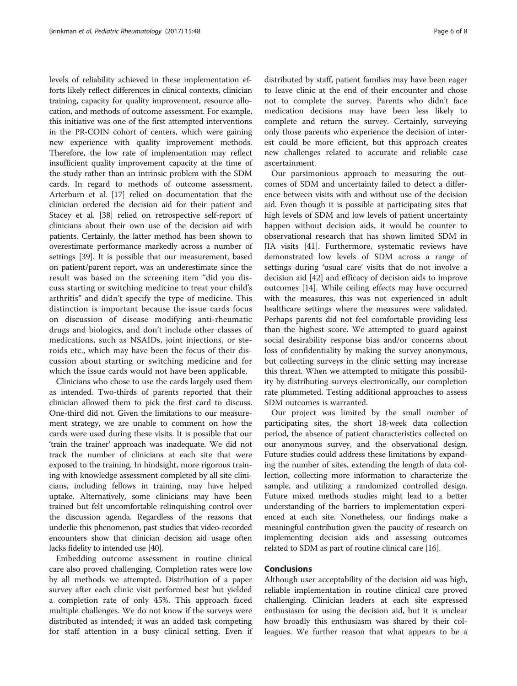levels of reliability achieved in these implementation efforts likely reflect differences in clinical contexts, clinician training, capacity for quality improvement, resource allocation, and methods of outcome assessment. For example, this initiative was one of the first attempted interventions in the PR-COIN cohort of centers, which were gaining new experience with quality improvement methods. Therefore, the low rate of implementation may reflect insufficient quality improvement capacity at the time of the study rather than an intrinsic problem with the SDM cards. In regard to methods of outcome assessment, Arterburn et al. [\[17](#page-7-0)] relied on documentation that the clinician ordered the decision aid for their patient and Stacey et al. [\[38](#page-7-0)] relied on retrospective self-report of clinicians about their own use of the decision aid with patients. Certainly, the latter method has been shown to overestimate performance markedly across a number of settings [\[39\]](#page-7-0). It is possible that our measurement, based on patient/parent report, was an underestimate since the result was based on the screening item "did you discuss starting or switching medicine to treat your child's arthritis" and didn't specify the type of medicine. This distinction is important because the issue cards focus on discussion of disease modifying anti-rheumatic drugs and biologics, and don't include other classes of medications, such as NSAIDs, joint injections, or steroids etc., which may have been the focus of their discussion about starting or switching medicine and for which the issue cards would not have been applicable.

Clinicians who chose to use the cards largely used them as intended. Two-thirds of parents reported that their clinician allowed them to pick the first card to discuss. One-third did not. Given the limitations to our measurement strategy, we are unable to comment on how the cards were used during these visits. It is possible that our 'train the trainer' approach was inadequate. We did not track the number of clinicians at each site that were exposed to the training. In hindsight, more rigorous training with knowledge assessment completed by all site clinicians, including fellows in training, may have helped uptake. Alternatively, some clinicians may have been trained but felt uncomfortable relinquishing control over the discussion agenda. Regardless of the reasons that underlie this phenomenon, past studies that video-recorded encounters show that clinician decision aid usage often lacks fidelity to intended use [[40](#page-7-0)].

Embedding outcome assessment in routine clinical care also proved challenging. Completion rates were low by all methods we attempted. Distribution of a paper survey after each clinic visit performed best but yielded a completion rate of only 45%. This approach faced multiple challenges. We do not know if the surveys were distributed as intended; it was an added task competing for staff attention in a busy clinical setting. Even if

distributed by staff, patient families may have been eager to leave clinic at the end of their encounter and chose not to complete the survey. Parents who didn't face medication decisions may have been less likely to complete and return the survey. Certainly, surveying only those parents who experience the decision of interest could be more efficient, but this approach creates new challenges related to accurate and reliable case ascertainment.

Our parsimonious approach to measuring the outcomes of SDM and uncertainty failed to detect a difference between visits with and without use of the decision aid. Even though it is possible at participating sites that high levels of SDM and low levels of patient uncertainty happen without decision aids, it would be counter to observational research that has shown limited SDM in JIA visits [[41](#page-7-0)]. Furthermore, systematic reviews have demonstrated low levels of SDM across a range of settings during 'usual care' visits that do not involve a decision aid [[42](#page-7-0)] and efficacy of decision aids to improve outcomes [\[14\]](#page-7-0). While ceiling effects may have occurred with the measures, this was not experienced in adult healthcare settings where the measures were validated. Perhaps parents did not feel comfortable providing less than the highest score. We attempted to guard against social desirability response bias and/or concerns about loss of confidentiality by making the survey anonymous, but collecting surveys in the clinic setting may increase this threat. When we attempted to mitigate this possibility by distributing surveys electronically, our completion rate plummeted. Testing additional approaches to assess SDM outcomes is warranted.

Our project was limited by the small number of participating sites, the short 18-week data collection period, the absence of patient characteristics collected on our anonymous survey, and the observational design. Future studies could address these limitations by expanding the number of sites, extending the length of data collection, collecting more information to characterize the sample, and utilizing a randomized controlled design. Future mixed methods studies might lead to a better understanding of the barriers to implementation experienced at each site. Nonetheless, our findings make a meaningful contribution given the paucity of research on implementing decision aids and assessing outcomes related to SDM as part of routine clinical care [\[16\]](#page-7-0).

## Conclusions

Although user acceptability of the decision aid was high, reliable implementation in routine clinical care proved challenging. Clinician leaders at each site expressed enthusiasm for using the decision aid, but it is unclear how broadly this enthusiasm was shared by their colleagues. We further reason that what appears to be a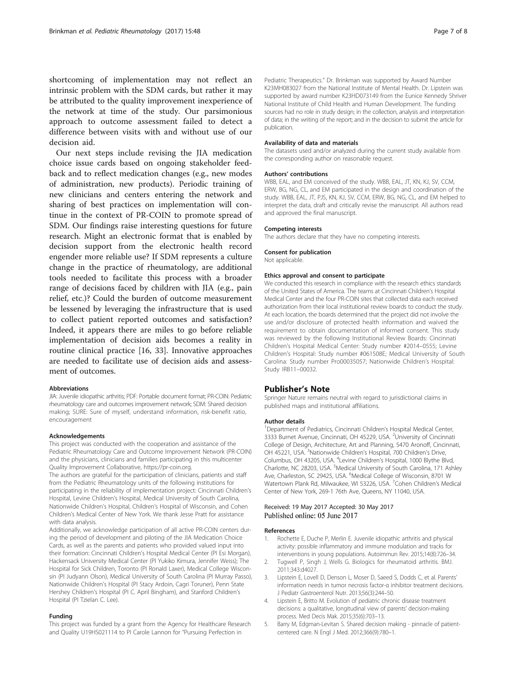<span id="page-6-0"></span>shortcoming of implementation may not reflect an intrinsic problem with the SDM cards, but rather it may be attributed to the quality improvement inexperience of the network at time of the study. Our parsimonious approach to outcome assessment failed to detect a difference between visits with and without use of our decision aid.

Our next steps include revising the JIA medication choice issue cards based on ongoing stakeholder feedback and to reflect medication changes (e.g., new modes of administration, new products). Periodic training of new clinicians and centers entering the network and sharing of best practices on implementation will continue in the context of PR-COIN to promote spread of SDM. Our findings raise interesting questions for future research. Might an electronic format that is enabled by decision support from the electronic health record engender more reliable use? If SDM represents a culture change in the practice of rheumatology, are additional tools needed to facilitate this process with a broader range of decisions faced by children with JIA (e.g., pain relief, etc.)? Could the burden of outcome measurement be lessened by leveraging the infrastructure that is used to collect patient reported outcomes and satisfaction? Indeed, it appears there are miles to go before reliable implementation of decision aids becomes a reality in routine clinical practice [[16, 33\]](#page-7-0). Innovative approaches are needed to facilitate use of decision aids and assessment of outcomes.

#### Abbreviations

JIA: Juvenile idiopathic arthritis; PDF: Portable document format; PR-COIN: Pediatric rheumatology care and outcomes improvement network; SDM: Shared decision making; SURE: Sure of myself, understand information, risk-benefit ratio, encouragement

#### Acknowledgements

This project was conducted with the cooperation and assistance of the Pediatric Rheumatology Care and Outcome Improvement Network (PR-COIN) and the physicians, clinicians and families participating in this multicenter Quality Improvement Collaborative,<https://pr-coin.org>.

The authors are grateful for the participation of clinicians, patients and staff from the Pediatric Rheumatology units of the following institutions for participating in the reliability of implementation project: Cincinnati Children's Hospital, Levine Children's Hospital, Medical University of South Carolina, Nationwide Children's Hospital, Children's Hospital of Wisconsin, and Cohen Children's Medical Center of New York. We thank Jesse Pratt for assistance with data analysis.

Additionally, we acknowledge participation of all active PR-COIN centers during the period of development and piloting of the JIA Medication Choice Cards, as well as the parents and patients who provided valued input into their formation: Cincinnati Children's Hospital Medical Center (PI Esi Morgan), Hackensack University Medical Center (PI Yukiko Kimura, Jennifer Weiss); The Hospital for Sick Children, Toronto (PI Ronald Laxer), Medical College Wisconsin (PI Judyann Olson), Medical University of South Carolina (PI Murray Passo), Nationwide Children's Hospital (PI Stacy Ardoin, Cagri Toruner), Penn State Hershey Children's Hospital (PI C. April Bingham), and Stanford Children's Hospital (PI Tzielan C. Lee).

#### Funding

This project was funded by a grant from the Agency for Healthcare Research and Quality U19HS021114 to PI Carole Lannon for "Pursuing Perfection in

Pediatric Therapeutics." Dr. Brinkman was supported by Award Number K23MH083027 from the National Institute of Mental Health. Dr. Lipstein was supported by award number K23HD073149 from the Eunice Kennedy Shriver National Institute of Child Health and Human Development. The funding sources had no role in study design; in the collection, analysis and interpretation of data; in the writing of the report; and in the decision to submit the article for publication.

#### Availability of data and materials

The datasets used and/or analyzed during the current study available from the corresponding author on reasonable request.

#### Authors' contributions

WBB, EAL, and EM conceived of the study. WBB, EAL, JT, KN, KJ, SV, CCM, ERW, BG, NG, CL, and EM participated in the design and coordination of the study. WBB, EAL, JT, PJS, KN, KJ, SV, CCM, ERW, BG, NG, CL, and EM helped to interpret the data, draft and critically revise the manuscript. All authors read and approved the final manuscript.

#### Competing interests

The authors declare that they have no competing interests.

## Consent for publication

Not applicable.

#### Ethics approval and consent to participate

We conducted this research in compliance with the research ethics standards of the United States of America. The teams at Cincinnati Children's Hospital Medical Center and the four PR-COIN sites that collected data each received authorization from their local institutional review boards to conduct the study. At each location, the boards determined that the project did not involve the use and/or disclosure of protected health information and waived the requirement to obtain documentation of informed consent. This study was reviewed by the following Institutional Review Boards: Cincinnati Children's Hospital Medical Center: Study number #2014–0555; Levine Children's Hospital: Study number #061508E; Medical University of South Carolina: Study number Pro00035057; Nationwide Children's Hospital: Study IRB11–00032.

#### Publisher's Note

Springer Nature remains neutral with regard to jurisdictional claims in published maps and institutional affiliations.

#### Author details

<sup>1</sup>Department of Pediatrics, Cincinnati Children's Hospital Medical Center, 3333 Burnet Avenue, Cincinnati, OH 45229, USA. <sup>2</sup>University of Cincinnati College of Design, Architecture, Art and Planning, 5470 Aronoff, Cincinnati, OH 45221, USA. <sup>3</sup>Nationwide Children's Hospital, 700 Children's Drive Columbus, OH 43205, USA. <sup>4</sup>Levine Children's Hospital, 1000 Blythe Blvd Charlotte, NC 28203, USA. <sup>5</sup>Medical University of South Carolina, 171 Ashley Ave, Charleston, SC 29425, USA. <sup>6</sup>Medical College of Wisconsin, 8701 W Watertown Plank Rd, Milwaukee, WI 53226, USA. <sup>7</sup>Cohen Children's Medical Center of New York, 269-1 76th Ave, Queens, NY 11040, USA.

#### Received: 19 May 2017 Accepted: 30 May 2017 Published online: 05 June 2017

#### References

- 1. Rochette E, Duche P, Merlin E. Juvenile idiopathic arthritis and physical activity: possible inflammatory and immune modulation and tracks for interventions in young populations. Autoimmun Rev. 2015;14(8):726–34.
- 2. Tugwell P, Singh J, Wells G. Biologics for rheumatoid arthritis. BMJ. 2011;343:d4027.
- 3. Lipstein E, Lovell D, Denson L, Moser D, Saeed S, Dodds C, et al. Parents' information needs in tumor necrosis factor-α inhibitor treatment decisions. J Pediatr Gastroenterol Nutr. 2013;56(3):244–50.
- 4. Lipstein E, Britto M. Evolution of pediatric chronic disease treatment decisions: a qualitative, longitudinal view of parents' decision-making process. Med Decis Mak. 2015;35(6):703–13.
- 5. Barry M, Edgman-Levitan S. Shared decision making pinnacle of patientcentered care. N Engl J Med. 2012;366(9):780–1.